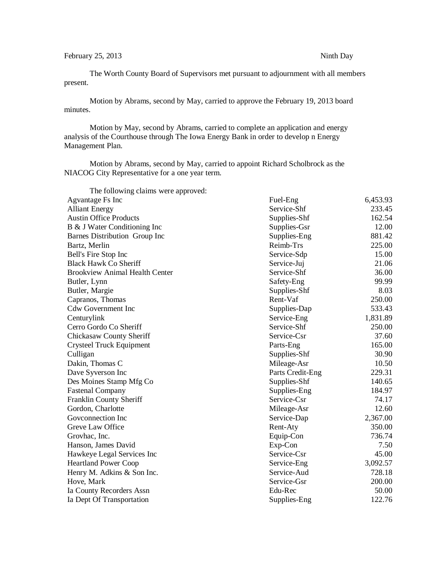The Worth County Board of Supervisors met pursuant to adjournment with all members present.

Motion by Abrams, second by May, carried to approve the February 19, 2013 board minutes.

Motion by May, second by Abrams, carried to complete an application and energy analysis of the Courthouse through The Iowa Energy Bank in order to develop n Energy Management Plan.

Motion by Abrams, second by May, carried to appoint Richard Scholbrock as the NIACOG City Representative for a one year term.

| The following claims were approved:   |                  |          |
|---------------------------------------|------------------|----------|
| Agvantage Fs Inc                      | Fuel-Eng         | 6,453.93 |
| <b>Alliant Energy</b>                 | Service-Shf      | 233.45   |
| <b>Austin Office Products</b>         | Supplies-Shf     | 162.54   |
| B & J Water Conditioning Inc          | Supplies-Gsr     | 12.00    |
| Barnes Distribution Group Inc         | Supplies-Eng     | 881.42   |
| Bartz, Merlin                         | Reimb-Trs        | 225.00   |
| Bell's Fire Stop Inc                  | Service-Sdp      | 15.00    |
| <b>Black Hawk Co Sheriff</b>          | Service-Juj      | 21.06    |
| <b>Brookview Animal Health Center</b> | Service-Shf      | 36.00    |
| Butler, Lynn                          | Safety-Eng       | 99.99    |
| Butler, Margie                        | Supplies-Shf     | 8.03     |
| Capranos, Thomas                      | Rent-Vaf         | 250.00   |
| <b>Cdw Government Inc</b>             | Supplies-Dap     | 533.43   |
| Centurylink                           | Service-Eng      | 1,831.89 |
| Cerro Gordo Co Sheriff                | Service-Shf      | 250.00   |
| <b>Chickasaw County Sheriff</b>       | Service-Csr      | 37.60    |
| <b>Crysteel Truck Equipment</b>       | Parts-Eng        | 165.00   |
| Culligan                              | Supplies-Shf     | 30.90    |
| Dakin, Thomas C                       | Mileage-Asr      | 10.50    |
| Dave Syverson Inc                     | Parts Credit-Eng | 229.31   |
| Des Moines Stamp Mfg Co               | Supplies-Shf     | 140.65   |
| <b>Fastenal Company</b>               | Supplies-Eng     | 184.97   |
| Franklin County Sheriff               | Service-Csr      | 74.17    |
| Gordon, Charlotte                     | Mileage-Asr      | 12.60    |
| Govconnection Inc                     | Service-Dap      | 2,367.00 |
| Greve Law Office                      | Rent-Aty         | 350.00   |
| Grovhac, Inc.                         | Equip-Con        | 736.74   |
| Hanson, James David                   | Exp-Con          | 7.50     |
| Hawkeye Legal Services Inc            | Service-Csr      | 45.00    |
| <b>Heartland Power Coop</b>           | Service-Eng      | 3,092.57 |
| Henry M. Adkins & Son Inc.            | Service-Aud      | 728.18   |
| Hove, Mark                            | Service-Gsr      | 200.00   |
| Ia County Recorders Assn              | Edu-Rec          | 50.00    |
| Ia Dept Of Transportation             | Supplies-Eng     | 122.76   |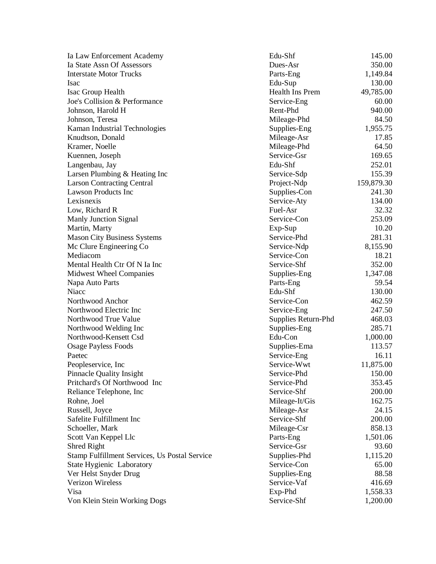Ia Law Enforcement Academy Ia State Assn Of Assessors **Interstate Motor Trucks** Isac Edu Isac Group Health Joe's Collision & Performance Johnson, Harold H Johnson, Teresa Kaman Industrial Technologies Knudtson, Donald Kramer, Noelle Kuennen, Joseph Langenbau, Jay Larsen Plumbing  $&$  Heating Inc Larson Contracting Central Lawson Products Inc. Lexisnexis Low, Richard R Manly Junction Signal Martin, Marty Mason City Business Systems Mc Clure Engineering Co Mediacom Mental Health Ctr Of N Ia Inc Midwest Wheel Companies Napa Auto Parts Niacc Edu Northwood Anchor Northwood Electric Inc Northwood True Value Northwood Welding Inc Northwood-Kensett Csd Edu **Osage Payless Foods** Paetec Service Peopleservice, Inc Pinnacle Quality Insight Pritchard's Of Northwood Inc Reliance Telephone, Inc Rohne, Joel Russell, Joyce Safelite Fulfillment Inc Schoeller, Mark Scott Van Keppel Llc Shred Right Stamp Fulfillment Services, Us Postal Service State Hygienic Laboratory Ver Helst Snyder Drug Verizon Wireless Visa Exp Von Klein Stein Working Dogs

| Edu-Shf             | 145.00     |
|---------------------|------------|
| Dues-Asr            | 350.00     |
| Parts-Eng           | 1,149.84   |
| Edu-Sup             | 130.00     |
| Health Ins Prem     | 49,785.00  |
| Service-Eng         | 60.00      |
| Rent-Phd            | 940.00     |
| Mileage-Phd         | 84.50      |
| Supplies-Eng        | 1,955.75   |
| Mileage-Asr         | 17.85      |
| Mileage-Phd         | 64.50      |
| Service-Gsr         | 169.65     |
| Edu-Shf             | 252.01     |
| Service-Sdp         | 155.39     |
| Project-Ndp         | 159,879.30 |
| Supplies-Con        | 241.30     |
| Service-Aty         | 134.00     |
| Fuel-Asr            | 32.32      |
| Service-Con         | 253.09     |
| Exp-Sup             | 10.20      |
| Service-Phd         | 281.31     |
| Service-Ndp         | 8,155.90   |
| Service-Con         | 18.21      |
| Service-Shf         | 352.00     |
| Supplies-Eng        | 1,347.08   |
| Parts-Eng           | 59.54      |
| Edu-Shf             | 130.00     |
| Service-Con         | 462.59     |
| Service-Eng         | 247.50     |
| Supplies Return-Phd | 468.03     |
| Supplies-Eng        | 285.71     |
| Edu-Con             | 1,000.00   |
| Supplies-Ema        | 113.57     |
| Service-Eng         | 16.11      |
| Service-Wwt         | 11,875.00  |
| Service-Phd         | 150.00     |
| Service-Phd         | 353.45     |
| Service-Shf         | 200.00     |
| Mileage-It/Gis      | 162.75     |
| Mileage-Asr         | 24.15      |
| Service-Shf         | 200.00     |
| Mileage-Csr         | 858.13     |
| Parts-Eng           | 1,501.06   |
| Service-Gsr         | 93.60      |
| Supplies-Phd        | 1,115.20   |
| Service-Con         | 65.00      |
| Supplies-Eng        | 88.58      |
| Service-Vaf         | 416.69     |
| Exp-Phd             | 1,558.33   |
| Service-Shf         | 1,200.00   |